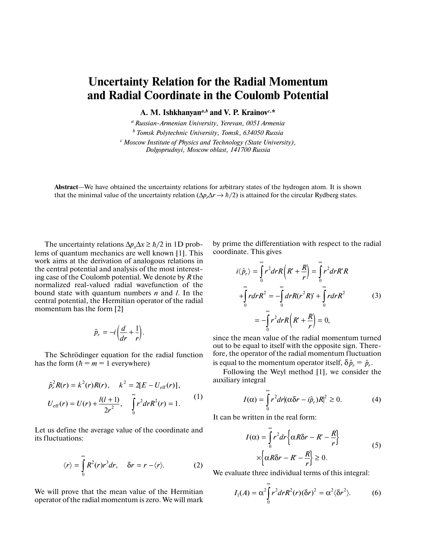## **Uncertainty Relation for the Radial Momentum and Radial Coordinate in the Coulomb Potential**

**A. M. Ishkhanyan***a***,***<sup>b</sup>*  **and V. P. Krainov***c***, \***

*a Russian-Armenian University, Yerevan, 0051 Armenia b Tomsk Polytechnic University, Tomsk, 634050 Russia c Moscow Institute of Physics and Technology (State University), Dolgoprudnyi, Moscow oblast, 141700 Russia*

**Abstract**—We have obtained the uncertainty relations for arbitrary states of the hydrogen atom. It is shown that the minimal value of the uncertainty relation  $(\Delta p, \Delta r \to \hbar/2)$  is attained for the circular Rydberg states.

The uncertainty relations  $\Delta p_x \Delta x \ge \hbar/2$  in 1D problems of quantum mechanics are well known [1]. This work aims at the derivation of analogous relations in the central potential and analysis of the most interesting case of the Coulomb potential. We denote by *R* the normalized real-valued radial wavefunction of the bound state with quantum numbers *n* and *l*. In the central potential, the Hermitian operator of the radial momentum has the form [2]

$$
\hat{p}_r = -i\left(\frac{d}{dr} + \frac{1}{r}\right).
$$

The Schrödinger equation for the radial function has the form  $(h = m = 1$  everywhere)

$$
\hat{p}_r^2 R(r) = k^2(r) R(r), \quad k^2 = 2[E - U_{\text{eff}}(r)],
$$
  

$$
U_{\text{eff}}(r) = U(r) + \frac{l(l+1)}{2r^2}, \quad \int_0^{\infty} r^2 dr R^2(r) = 1.
$$
 (1)

Let us define the average value of the coordinate and its fluctuations:

$$
\langle r \rangle = \int_{0}^{\infty} R^{2}(r)r^{3} dr, \quad \delta r = r - \langle r \rangle.
$$
 (2)

We will prove that the mean value of the Hermitian operator of the radial momentum is zero. We will mark

by prime the differentiation with respect to the radial coordinate. This gives

$$
i\langle \hat{p}_r \rangle = \int_0^\infty r^2 dr R \left( R' + \frac{R}{r} \right) = \int_0^\infty r^2 dr R' R
$$
  
+
$$
\int_0^\infty r dr R^2 = -\int_0^\infty dr R (r^2 R)' + \int_0^\infty r dr R^2
$$
(3)  
=
$$
-\int_0^\infty r^2 dr R \left( R' + \frac{R}{r} \right) = 0,
$$

since the mean value of the radial momentum turned out to be equal to itself with the opposite sign. Therefore, the operator of the radial momentum fluctuation is equal to the momentum operator itself,  $\delta \hat{p}_r = \hat{p}_r$ .

Following the Weyl method [1], we consider the auxiliary integral

$$
I(\alpha) = \int_{0}^{\infty} r^2 dr |(\alpha \delta r - i\hat{p}_r)R|^2 \ge 0.
$$
 (4)

It can be written in the real form:

$$
I(\alpha) = \int_{0}^{\infty} r^{2} dr \left\{ \alpha R \delta r - R' - \frac{R}{r} \right\}
$$
  
 
$$
\times \left\{ \alpha R \delta r - R' - \frac{R}{r} \right\} \ge 0.
$$
 (5)

We evaluate three individual terms of this integral:

$$
I_1(A) = \alpha^2 \int_0^{\infty} r^2 dr R^2(r) (\delta r)^2 = \alpha^2 \langle \delta r^2 \rangle.
$$
 (6)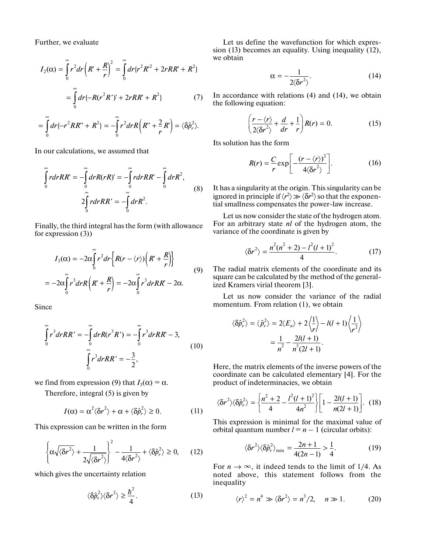Further, we evaluate

$$
I_2(\alpha) = \int_0^{\infty} r^2 dr \left( R' + \frac{R}{r} \right)^2 = \int_0^{\infty} dr \{ r^2 R'^2 + 2rRR' + R^2 \}
$$

$$
= \int_0^{\infty} dr \{ -R(r^2R')' + 2rRR' + R^2 \}
$$
(7)

$$
=\int\limits_{0}^{\infty}dr\{-r^{2}RR''+R^{2}\}=-\int\limits_{0}^{\infty}r^{2}drR\left(R''+\frac{2}{r}R'\right)=\langle\delta\hat{p}_{r}^{2}\rangle.
$$

In our calculations, we assumed that

$$
\int_{0}^{\infty} r dr R R' = -\int_{0}^{\infty} dr R (rR)' = -\int_{0}^{\infty} r dr R R' - \int_{0}^{\infty} dr R^{2},
$$
\n
$$
2\int_{0}^{\infty} r dr R R' = -\int_{0}^{\infty} dr R^{2}.
$$
\n(8)

Finally, the third integral has the form (with allowance for expression (3))

$$
I_3(\alpha) = -2\alpha \int_0^{\infty} r^2 dr \left\{ R(r - \langle r \rangle) \left( R' + \frac{R}{r} \right) \right\}
$$
  
= 
$$
-2\alpha \int_0^{\infty} r^3 dr R \left( R' + \frac{R}{r} \right) = -2\alpha \int_0^{\infty} r^3 dr R R' - 2\alpha.
$$
 (9)

Since

$$
\int_{0}^{\infty} r^{3} dr RR' = -\int_{0}^{\infty} dr R(r^{3} R') = -\int_{0}^{\infty} r^{3} dr RR' - 3,
$$
\n(10)\n
$$
\int_{0}^{\infty} r^{3} dr RR' = -\frac{3}{2},
$$

we find from expression (9) that  $I_3(\alpha) = \alpha$ .

Therefore, integral (5) is given by

$$
I(\alpha) = \alpha^2 \langle \delta r^2 \rangle + \alpha + \langle \delta \hat{p}_r^2 \rangle \ge 0. \tag{11}
$$

This expression can be written in the form

$$
\left\{ \alpha \sqrt{\langle \delta r^2 \rangle} + \frac{1}{2\sqrt{\langle \delta r^2 \rangle}} \right\}^2 - \frac{1}{4\langle \delta r^2 \rangle} + \langle \delta \hat{p}_r^2 \rangle \ge 0, \qquad (12)
$$

which gives the uncertainty relation

$$
\langle \delta \hat{p}_r^2 \rangle \langle \delta r^2 \rangle \ge \frac{\hbar^2}{4}.
$$
 (13)

Let us define the wavefunction for which expression (13) becomes an equality. Using inequality (12), we obtain

$$
\alpha = -\frac{1}{2\langle \delta r^2 \rangle}.
$$
 (14)

In accordance with relations (4) and (14), we obtain the following equation:

$$
\left(\frac{r-\langle r\rangle}{2\langle\delta r^2\rangle}+\frac{d}{dr}+\frac{1}{r}\right)R(r)=0.
$$
 (15)

Its solution has the form

$$
R(r) = \frac{C}{r} \exp\left[-\frac{(r - \langle r \rangle)^2}{4 \langle \delta r^2 \rangle}\right].
$$
 (16)

It has a singularity at the origin. This singularity can be ignored in principle if  $\langle r^2 \rangle \gg \langle \delta r^2 \rangle$  so that the exponential smallness compensates the power-law increase.

Let us now consider the state of the hydrogen atom. For an arbitrary state *nl* of the hydrogen atom, the variance of the coordinate is given by

$$
\langle \delta r^2 \rangle = \frac{n^2(n^2+2) - l^2(l+1)^2}{4}.
$$
 (17)

The radial matrix elements of the coordinate and its square can be calculated by the method of the generalized Kramers virial theorem [3].

Let us now consider the variance of the radial momentum. From relation (1), we obtain

$$
\langle \delta \hat{p}_r^2 \rangle = \langle \hat{p}_r^2 \rangle = 2 \langle E_n \rangle + 2 \langle \frac{1}{r} \rangle - l(l+1) \langle \frac{1}{r^2} \rangle
$$

$$
= \frac{1}{n^2} - \frac{2l(l+1)}{n^3 (2l+1)}.
$$

Here, the matrix elements of the inverse powers of the coordinate can be calculated elementary [4]. For the product of indeterminacies, we obtain

$$
\langle \delta r^2 \rangle \langle \delta \hat{p}_r^2 \rangle = \left\{ \frac{n^2 + 2}{4} - \frac{l^2(l+1)^2}{4n^2} \right\} \left[ 1 - \frac{2l(l+1)}{n(2l+1)} \right]. \tag{18}
$$

This expression is minimal for the maximal value of orbital quantum number  $l = n - 1$  (circular orbits):

$$
\langle \delta r^2 \rangle \langle \delta \hat{p}_r^2 \rangle_{\text{min}} = \frac{2n+1}{4(2n-1)} > \frac{1}{4}.
$$
 (19)

For  $n \to \infty$ , it indeed tends to the limit of 1/4. As noted above, this statement follows from the inequality

$$
\langle r \rangle^2 = n^4 \gg \langle \delta r^2 \rangle = n^3/2, \quad n \gg 1. \tag{20}
$$